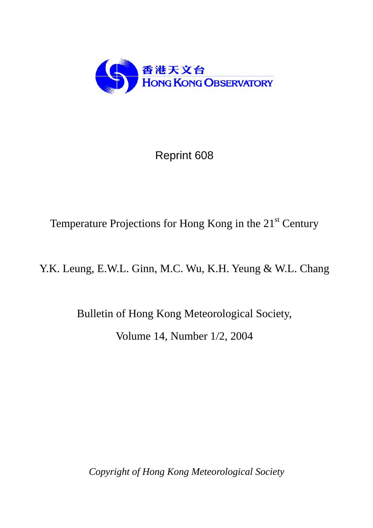

## Reprint 608

## Temperature Projections for Hong Kong in the 21<sup>st</sup> Century

Y.K. Leung, E.W.L. Ginn, M.C. Wu, K.H. Yeung & W.L. Chang

Bulletin of Hong Kong Meteorological Society, Volume 14, Number 1/2, 2004

*Copyright of Hong Kong Meteorological Society*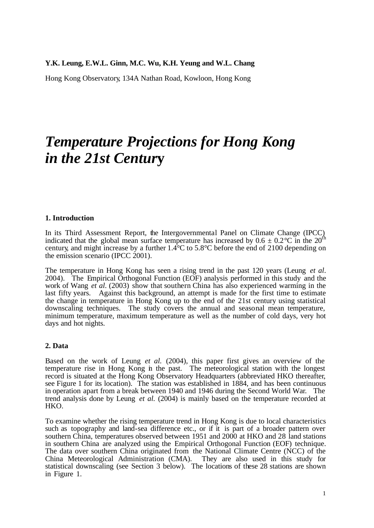#### **Y.K. Leung, E.W.L. Ginn, M.C. Wu, K.H. Yeung and W.L. Chang**

Hong Kong Observatory, 134A Nathan Road, Kowloon, Hong Kong

# *Temperature Projections for Hong Kong in the 21st Centur***y**

#### **1. Introduction**

In its Third Assessment Report, the Intergovernmental Panel on Climate Change (IPCC) indicated that the global mean surface temperature has increased by  $0.6 \pm 0.2^{\circ}\text{C}$  in the  $20^{\text{th}}$ century, and might increase by a further  $1.4^{\circ}$ C to 5.8°C before the end of 2100 depending on the emission scenario (IPCC 2001).

The temperature in Hong Kong has seen a rising trend in the past 120 years (Leung *et al*. 2004). The Empirical Orthogonal Function (EOF) analysis performed in this study and the work of Wang *et al*. (2003) show that southern China has also experienced warming in the last fifty years. Against this background, an attempt is made for the first time to estimate the change in temperature in Hong Kong up to the end of the 21st century using statistical downscaling techniques. The study covers the annual and seasonal mean temperature, minimum temperature, maximum temperature as well as the number of cold days, very hot days and hot nights.

#### **2. Data**

Based on the work of Leung *et al.* (2004), this paper first gives an overview of the temperature rise in Hong Kong in the past. The meteorological station with the longest record is situated at the Hong Kong Observatory Headquarters (abbreviated HKO thereafter, see Figure 1 for its location). The station was established in 1884, and has been continuous in operation apart from a break between 1940 and 1946 during the Second World War. The trend analysis done by Leung *et al.* (2004) is mainly based on the temperature recorded at HKO.

To examine whether the rising temperature trend in Hong Kong is due to local characteristics such as topography and land-sea difference etc., or if it is part of a broader pattern over southern China, temperatures observed between 1951 and 2000 at HKO and 28 land stations in southern China are analyzed using the Empirical Orthogonal Function (EOF) technique. The data over southern China originated from the National Climate Centre (NCC) of the China Meteorological Administration (CMA). They are also used in this study for statistical downscaling (see Section 3 below). The locations of these 28 stations are shown in Figure 1.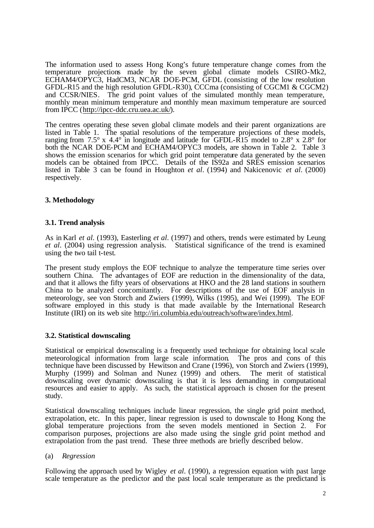The information used to assess Hong Kong's future temperature change comes from the temperature projections made by the seven global climate models CSIRO-Mk2, ECHAM4/OPYC3, HadCM3, NCAR DOE-PCM, GFDL (consisting of the low resolution GFDL-R15 and the high resolution GFDL-R30), CCCma (consisting of CGCM1 & CGCM2) and CCSR/NIES. The grid point values of the simulated monthly mean temperature, monthly mean minimum temperature and monthly mean maximum temperature are sourced from IPCC (http://ipcc-ddc.cru.uea.ac.uk/).

The centres operating these seven global climate models and their parent organizations are listed in Table 1. The spatial resolutions of the temperature projections of these models, ranging from 7.5° x 4.4° in longitude and latitude for GFDL-R15 model to 2.8° x 2.8° for both the NCAR DOE-PCM and ECHAM4/OPYC3 models, are shown in Table 2. Table 3 shows the emission scenarios for which grid point temperature data generated by the seven models can be obtained from IPCC. Details of the IS92a and SRES emission scenarios listed in Table 3 can be found in Houghton *et al*. (1994) and Nakicenovic *et al*. (2000) respectively.

#### **3. Methodology**

#### **3.1. Trend analysis**

As in Karl *et al*. (1993), Easterling *et al*. (1997) and others, trends were estimated by Leung *et al*. (2004) using regression analysis. Statistical significance of the trend is examined using the two tail t-test.

The present study employs the EOF technique to analyze the temperature time series over southern China. The advantages of EOF are reduction in the dimensionality of the data, and that it allows the fifty years of observations at HKO and the 28 land stations in southern China to be analyzed concomitantly. For descriptions of the use of EOF analysis in meteorology, see von Storch and Zwiers (1999), Wilks (1995), and Wei (1999). The EOF software employed in this study is that made available by the International Research Institute (IRI) on its web site http://iri.columbia.edu/outreach/software/index.html.

#### **3.2. Statistical downscaling**

Statistical or empirical downscaling is a frequently used technique for obtaining local scale meteorological information from large scale information. The pros and cons of this technique have been discussed by Hewitson and Crane (1996), von Storch and Zwiers (1999), Murphy (1999) and Solman and Nunez (1999) and others. The merit of statistical downscaling over dynamic downscaling is that it is less demanding in computational resources and easier to apply. As such, the statistical approach is chosen for the present study.

Statistical downscaling techniques include linear regression, the single grid point method, extrapolation, etc. In this paper, linear regression is used to downscale to Hong Kong the global temperature projections from the seven models mentioned in Section 2. For comparison purposes, projections are also made using the single grid point method and extrapolation from the past trend. These three methods are briefly described below.

#### (a) *Regression*

Following the approach used by Wigley *et al*. (1990), a regression equation with past large scale temperature as the predictor and the past local scale temperature as the predictand is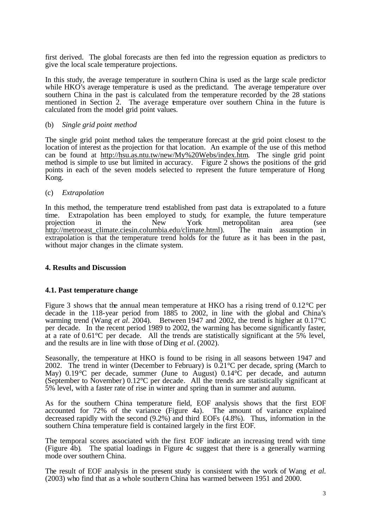first derived. The global forecasts are then fed into the regression equation as predictors to give the local scale temperature projections.

In this study, the average temperature in southern China is used as the large scale predictor while HKO's average temperature is used as the predictand. The average temperature over southern China in the past is calculated from the temperature recorded by the 28 stations mentioned in Section 2. The average emperature over southern China in the future is calculated from the model grid point values.

#### (b) *Single grid point method*

The single grid point method takes the temperature forecast at the grid point closest to the location of interest as the projection for that location. An example of the use of this method can be found at http://hsu.as.ntu.tw/new/My%20Webs/index.htm. The single grid point method is simple to use but limited in accuracy. Figure 2 shows the positions of the grid points in each of the seven models selected to represent the future temperature of Hong Kong.

#### (c) *Extrapolation*

In this method, the temperature trend established from past data is extrapolated to a future time. Extrapolation has been employed to study, for example, the future temperature projection in the New York metropolitan area (see http://metroeast\_climate.ciesin.columbia.edu/climate.html). The main assumption in extrapolation is that the temperature trend holds for the future as it has been in the past, without major changes in the climate system.

#### **4. Results and Discussion**

#### **4.1. Past temperature change**

Figure 3 shows that the annual mean temperature at HKO has a rising trend of  $0.12^{\circ}$ C per decade in the 118-year period from 1885 to 2002, in line with the global and China's warming trend (Wang *et al*. 2004). Between 1947 and 2002, the trend is higher at 0.17°C per decade. In the recent period 1989 to 2002, the warming has become significantly faster, at a rate of 0.61°C per decade. All the trends are statistically significant at the 5% level, and the results are in line with those of Ding *et al*. (2002).

Seasonally, the temperature at HKO is found to be rising in all seasons between 1947 and 2002. The trend in winter (December to February) is  $0.21^{\circ}$ C per decade, spring (March to May) 0.19°C per decade, summer (June to August) 0.14°C per decade, and autumn (September to November) 0.12°C per decade. All the trends are statistically significant at 5% level, with a faster rate of rise in winter and spring than in summer and autumn.

As for the southern China temperature field, EOF analysis shows that the first EOF accounted for 72% of the variance (Figure 4a). The amount of variance explained decreased rapidly with the second (9.2%) and third EOFs (4.8%). Thus, information in the southern China temperature field is contained largely in the first EOF.

The temporal scores associated with the first EOF indicate an increasing trend with time (Figure 4b). The spatial loadings in Figure 4c suggest that there is a generally warming mode over southern China.

The result of EOF analysis in the present study is consistent with the work of Wang *et al.* (2003) who find that as a whole southern China has warmed between 1951 and 2000.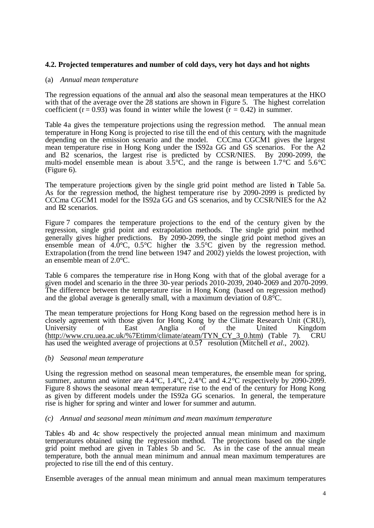#### **4.2. Projected temperatures and number of cold days, very hot days and hot nights**

#### (a) *Annual mean temperature*

The regression equations of the annual and also the seasonal mean temperatures at the HKO with that of the average over the 28 stations are shown in Figure 5. The highest correlation coefficient ( $r = 0.93$ ) was found in winter while the lowest ( $r = 0.42$ ) in summer.

Table 4a gives the temperature projections using the regression method. The annual mean temperature in Hong Kong is projected to rise till the end of this century, with the magnitude depending on the emission scenario and the model. CCCma CGCM1 gives the largest mean temperature rise in Hong Kong under the IS92a GG and GS scenarios. For the A2 and B2 scenarios, the largest rise is predicted by CCSR/NIES. By 2090-2099, the multi-model ensemble mean is about  $3.5^{\circ}$ C, and the range is between  $1.7^{\circ}$ C and  $5.6^{\circ}$ C (Figure 6).

The temperature projections given by the single grid point method are listed in Table 5a. As for the regression method, the highest temperature rise by 2090-2099 is predicted by CCCma CGCM1 model for the IS92a GG and GS scenarios, and by CCSR/NIES for the A2 and B2 scenarios.

Figure 7 compares the temperature projections to the end of the century given by the regression, single grid point and extrapolation methods. The single grid point method generally gives higher predictions. By 2090-2099, the single grid point method gives an ensemble mean of  $4.0^{\circ}$ C,  $0.5^{\circ}$ C higher the  $3.5^{\circ}$ C given by the regression method. Extrapolation (from the trend line between 1947 and 2002) yields the lowest projection, with an ensemble mean of 2.0°C.

Table 6 compares the temperature rise in Hong Kong with that of the global average for a given model and scenario in the three 30-year periods 2010-2039, 2040-2069 and 2070-2099. The difference between the temperature rise in Hong Kong (based on regression method) and the global average is generally small, with a maximum deviation of 0.8°C.

The mean temperature projections for Hong Kong based on the regression method here is in closely agreement with those given for Hong Kong by the Climate Research Unit (CRU), University of East Anglia of the United Kingdom (http://www.cru.uea.ac.uk/%7Etimm/climate/ateam/TYN\_CY\_3\_0.htm) (Table 7). CRU has used the weighted average of projections at 0.5? resolution (Mitchell *et al*., 2002).

#### *(b) Seasonal mean temperature*

Using the regression method on seasonal mean temperatures, the ensemble mean for spring, summer, autumn and winter are 4.4 °C, 1.4 °C, 2.4 °C and 4.2 °C respectively by 2090-2099. Figure 8 shows the seasonal mean temperature rise to the end of the century for Hong Kong as given by different models under the IS92a GG scenarios. In general, the temperature rise is higher for spring and winter and lower for summer and autumn.

#### *(c) Annual and seasonal mean minimum and mean maximum temperature*

Tables 4b and 4c show respectively the projected annual mean minimum and maximum temperatures obtained using the regression method. The projections based on the single grid point method are given in Tables 5b and 5c. As in the case of the annual mean temperature, both the annual mean minimum and annual mean maximum temperatures are projected to rise till the end of this century.

Ensemble averages of the annual mean minimum and annual mean maximum temperatures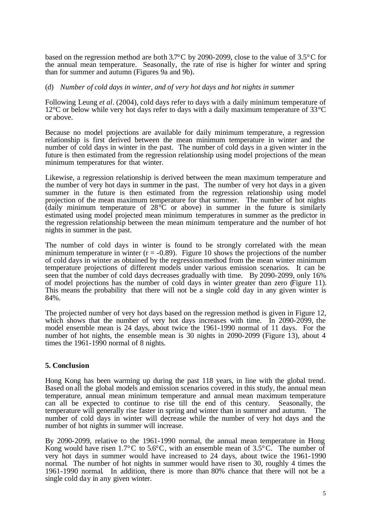based on the regression method are both 3.7°C by 2090-2099, close to the value of 3.5°C for the annual mean temperature. Seasonally, the rate of rise is higher for winter and spring than for summer and autumn (Figures 9a and 9b).

#### (d) *Number of cold days in winter, and of very hot days and hot nights in summer*

Following Leung *et al*. (2004), cold days refer to days with a daily minimum temperature of 12°C or below while very hot days refer to days with a daily maximum temperature of 33°C or above.

Because no model projections are available for daily minimum temperature, a regression relationship is first derived between the mean minimum temperature in winter and the number of cold days in winter in the past. The number of cold days in a given winter in the future is then estimated from the regression relationship using model projections of the mean minimum temperatures for that winter.

Likewise, a regression relationship is derived between the mean maximum temperature and the number of very hot days in summer in the past. The number of very hot days in a given summer in the future is then estimated from the regression relationship using model projection of the mean maximum temperature for that summer. The number of hot nights (daily minimum temperature of  $28^{\circ}\text{C}$  or above) in summer in the future is similarly estimated using model projected mean minimum temperatures in summer as the predictor in the regression relationship between the mean minimum temperature and the number of hot nights in summer in the past.

The number of cold days in winter is found to be strongly correlated with the mean minimum temperature in winter  $(r = -0.89)$ . Figure 10 shows the projections of the number of cold days in winter as obtained by the regression method from the mean winter minimum temperature projections of different models under various emission scenarios. It can be seen that the number of cold days decreases gradually with time. By 2090-2099, only 16% of model projections has the number of cold days in winter greater than zero (Figure 11). This means the probability that there will not be a single cold day in any given winter is 84%.

The projected number of very hot days based on the regression method is given in Figure 12, which shows that the number of very hot days increases with time. In 2090-2099, the model ensemble mean is 24 days, about twice the 1961-1990 normal of 11 days. For the number of hot nights, the ensemble mean is 30 nights in 2090-2099 (Figure 13), about 4 times the 1961-1990 normal of 8 nights.

#### **5. Conclusion**

Hong Kong has been warming up during the past 118 years, in line with the global trend. Based on all the global models and emission scenarios covered in this study, the annual mean temperature, annual mean minimum temperature and annual mean maximum temperature can all be expected to continue to rise till the end of this century. Seasonally, the temperature will generally rise faster in spring and winter than in summer and autumn. The number of cold days in winter will decrease while the number of very hot days and the number of hot nights in summer will increase.

By 2090-2099, relative to the 1961-1990 normal, the annual mean temperature in Hong Kong would have risen  $1.7^{\circ}$ C to  $5.6^{\circ}$ C, with an ensemble mean of  $3.5^{\circ}$ C. The number of very hot days in summer would have increased to 24 days, about twice the 1961-1990 normal. The number of hot nights in summer would have risen to 30, roughly 4 times the 1961-1990 normal. In addition, there is more than 80% chance that there will not be a single cold day in any given winter.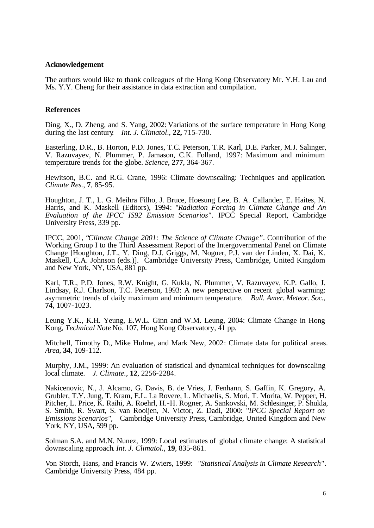#### **Acknowledgement**

The authors would like to thank colleagues of the Hong Kong Observatory Mr. Y.H. Lau and Ms. Y.Y. Cheng for their assistance in data extraction and compilation.

#### **References**

Ding, X., D. Zheng, and S. Yang, 2002: Variations of the surface temperature in Hong Kong during the last century. *Int. J. Climatol*., **22,** 715-730.

Easterling, D.R., B. Horton, P.D. Jones, T.C. Peterson, T.R. Karl, D.E. Parker, M.J. Salinger, V. Razuvayev, N. Plummer, P. Jamason, C.K. Folland, 1997: Maximum and minimum temperature trends for the globe. *Science*, **277**, 364-367.

Hewitson, B.C. and R.G. Crane, 1996: Climate downscaling: Techniques and application. *Climate Res.*, **7**, 85-95.

Houghton, J. T., L. G. Meihra Filho, J. Bruce, Hoesung Lee, B. A. Callander, E. Haites, N. Harris, and K. Maskell (Editors), 1994: "*Radiation Forcing in Climate Change and An Evaluation of the IPCC IS92 Emission Scenarios".* IPCC Special Report, Cambridge University Press, 339 pp.

IPCC, 2001, "*Climate Change 2001: The Science of Climate Change"*. Contribution of the Working Group I to the Third Assessment Report of the Intergovernmental Panel on Climate Change [Houghton, J.T., Y. Ding, D.J. Griggs, M. Noguer, P.J. van der Linden, X. Dai, K. Maskell, C.A. Johnson (eds.)]. Cambridge University Press, Cambridge, United Kingdom and New York, NY, USA, 881 pp.

Karl, T.R., P.D. Jones, R.W. Knight, G. Kukla, N. Plummer, V. Razuvayev, K.P. Gallo, J. Lindsay, R.J. Charlson, T.C. Peterson, 1993: A new perspective on recent global warming: asymmetric trends of daily maximum and minimum temperature. *Bull. Amer. Meteor. Soc.*, **74**, 1007-1023.

Leung Y.K., K.H. Yeung, E.W.L. Ginn and W.M. Leung, 2004: Climate Change in Hong Kong, *Technical Note* No. 107, Hong Kong Observatory, 41 pp.

Mitchell, Timothy D., Mike Hulme, and Mark New, 2002: Climate data for political areas. *Area*, **34**, 109-112.

Murphy, J.M., 1999: An evaluation of statistical and dynamical techniques for downscaling local climate. *J. Climate.*, **12**, 2256-2284.

Nakicenovic, N., J. Alcamo, G. Davis, B. de Vries, J. Fenhann, S. Gaffin, K. Gregory, A. Grubler, T.Y. Jung, T. Kram, E.L. La Rovere, L. Michaelis, S. Mori, T. Morita, W. Pepper, H. Pitcher, L. Price, K. Raihi, A. Roehrl, H.-H. Rogner, A. Sankovski, M. Schlesinger, P. Shukla, S. Smith, R. Swart, S. van Rooijen, N. Victor, Z. Dadi, 2000: "*IPCC Special Report on Emissions Scenarios",* Cambridge University Press, Cambridge, United Kingdom and New York, NY, USA, 599 pp.

Solman S.A. and M.N. Nunez, 1999: Local estimates of global climate change: A statistical downscaling approach. *Int. J. Climatol.*, **19**, 835-861.

Von Storch, Hans, and Francis W. Zwiers, 1999: "*Statistical Analysis in Climate Research"*. Cambridge University Press, 484 pp.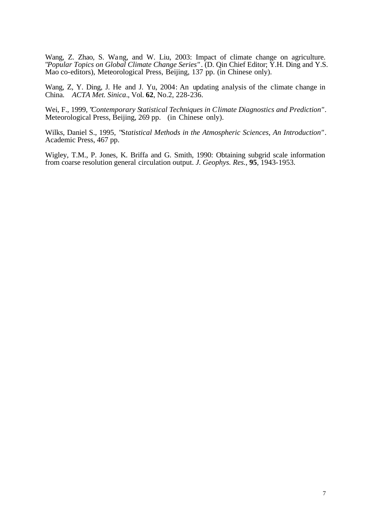Wang, Z. Zhao, S. Wang, and W. Liu, 2003: Impact of climate change on agriculture. "*Popular Topics on Global Climate Change Series"* . (D. Qin Chief Editor; Y.H. Ding and Y.S. Mao co-editors), Meteorological Press, Beijing, 137 pp. (in Chinese only).

Wang, Z, Y. Ding, J. He and J. Yu, 2004: An updating analysis of the climate change in China. *ACTA Met. Sinica*., Vol. **62**, No.2, 228-236.

Wei, F., 1999, "*Contemporary Statistical Techniques in Climate Diagnostics and Prediction"*. Meteorological Press, Beijing, 269 pp. (in Chinese only).

Wilks, Daniel S., 1995, "S*tatistical Methods in the Atmospheric Sciences*, *An Introduction"*. Academic Press, 467 pp.

Wigley, T.M., P. Jones, K. Briffa and G. Smith, 1990: Obtaining subgrid scale information from coarse resolution general circulation output. *J. Geophys. Res.*, **95**, 1943-1953.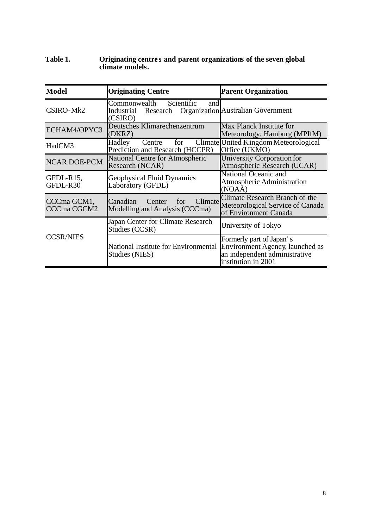#### **Table 1. Originating centre s and parent organizations of the seven global climate models.**

| <b>Model</b>                      | <b>Originating Centre</b>                                                                              | <b>Parent Organization</b>                                                                                          |  |  |  |
|-----------------------------------|--------------------------------------------------------------------------------------------------------|---------------------------------------------------------------------------------------------------------------------|--|--|--|
| CSIRO-Mk2                         | Commonwealth Scientific<br>and<br>Research Organization Australian Government<br>Industrial<br>(CSIRO) |                                                                                                                     |  |  |  |
| ECHAM4/OPYC3                      | Deutsches Klimarechenzentrum<br>(DKRZ)                                                                 | Max Planck Institute for<br>Meteorology, Hamburg (MPIfM)                                                            |  |  |  |
| HadCM3                            | Hadley<br>for<br>Centre<br>Prediction and Research (HCCPR)                                             | Climate United Kingdom Meteorological<br>Office (UKMO)                                                              |  |  |  |
| <b>NCAR DOE-PCM</b>               | <b>National Centre for Atmospheric</b><br>Research (NCAR)                                              | University Corporation for<br>Atmospheric Research (UCAR)                                                           |  |  |  |
| GFDL-R15,<br>GFDL-R30             | <b>Geophysical Fluid Dynamics</b><br>Laboratory (GFDL)                                                 | National Oceanic and<br><b>Atmospheric Administration</b><br>(NOAA)                                                 |  |  |  |
| CCCma GCM1,<br><b>CCCma CGCM2</b> | for<br>Climate<br>Canadian<br>Center<br>Modelling and Analysis (CCCma)                                 | Climate Research Branch of the<br>Meteorological Service of Canada<br>of Environment Canada                         |  |  |  |
|                                   | Japan Center for Climate Research<br>Studies (CCSR)                                                    | University of Tokyo                                                                                                 |  |  |  |
| <b>CCSR/NIES</b>                  | <b>National Institute for Environmental</b><br>Studies (NIES)                                          | Formerly part of Japan's<br>Environment Agency, launched as<br>an independent administrative<br>institution in 2001 |  |  |  |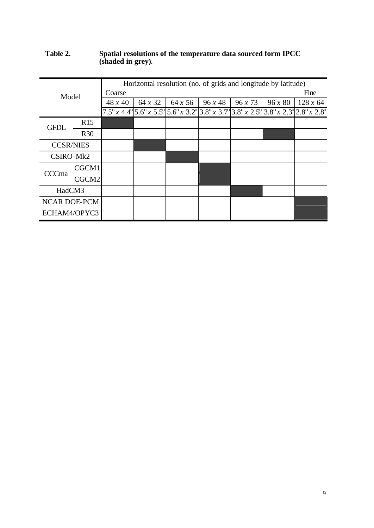#### **Table 2. Spatial resolutions of the temperature data sourced form IPCC (shaded in grey).**

|                     |            |         |                | Horizontal resolution (no. of grids and longitude by latitude) |       |       |         |                                                                                                                                                                                                                                |  |  |  |  |
|---------------------|------------|---------|----------------|----------------------------------------------------------------|-------|-------|---------|--------------------------------------------------------------------------------------------------------------------------------------------------------------------------------------------------------------------------------|--|--|--|--|
| Model               |            | Coarse  |                |                                                                |       |       |         |                                                                                                                                                                                                                                |  |  |  |  |
|                     |            | 48 x 40 | $64 \times 32$ | $64 \times 56$                                                 | 96x48 | 96x73 | 96 x 80 | 128 x 64                                                                                                                                                                                                                       |  |  |  |  |
|                     |            |         |                |                                                                |       |       |         | $7.5^{\circ}$ x 4.4 $^{\circ}$ 5.6 $^{\circ}$ x 5.5 $^{\circ}$ 5.6 $^{\circ}$ x 3.2 $^{\circ}$ 3.8 $^{\circ}$ x 3.7 $^{\circ}$ 3.8 $^{\circ}$ x 2.5 $^{\circ}$ 3.8 $^{\circ}$ x 2.3 $^{\circ}$ 2.8 $^{\circ}$ x 2.8 $^{\circ}$ |  |  |  |  |
| <b>GFDL</b>         | R15        |         |                |                                                                |       |       |         |                                                                                                                                                                                                                                |  |  |  |  |
|                     | <b>R30</b> |         |                |                                                                |       |       |         |                                                                                                                                                                                                                                |  |  |  |  |
| <b>CCSR/NIES</b>    |            |         |                |                                                                |       |       |         |                                                                                                                                                                                                                                |  |  |  |  |
| CSIRO-Mk2           |            |         |                |                                                                |       |       |         |                                                                                                                                                                                                                                |  |  |  |  |
| CCCma               | CGCM1      |         |                |                                                                |       |       |         |                                                                                                                                                                                                                                |  |  |  |  |
|                     | CGCM2      |         |                |                                                                |       |       |         |                                                                                                                                                                                                                                |  |  |  |  |
| HadCM3              |            |         |                |                                                                |       |       |         |                                                                                                                                                                                                                                |  |  |  |  |
| <b>NCAR DOE-PCM</b> |            |         |                |                                                                |       |       |         |                                                                                                                                                                                                                                |  |  |  |  |
| ECHAM4/OPYC3        |            |         |                |                                                                |       |       |         |                                                                                                                                                                                                                                |  |  |  |  |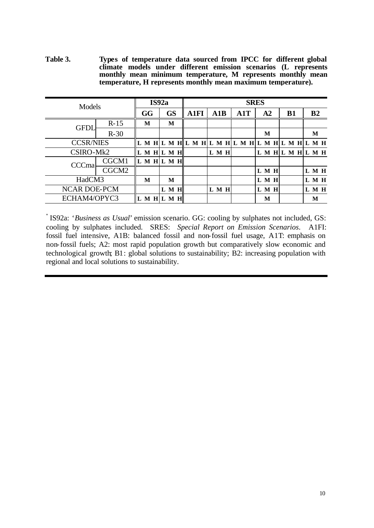**Table 3. Types of temperature data sourced from IPCC for different global climate models under different emission scenarios (L represents monthly mean minimum temperature, M represents monthly mean temperature, H represents monthly mean maximum temperature).**

| Models              |                   |                 | IS92a |           |                          |       | <b>SRES</b> |                   |  |           |  |                |       |
|---------------------|-------------------|-----------------|-------|-----------|--------------------------|-------|-------------|-------------------|--|-----------|--|----------------|-------|
|                     |                   | GG              |       | <b>GS</b> | <b>A1FI</b>              | A1B   | A1T         | A2                |  | <b>B1</b> |  | B <sub>2</sub> |       |
| <b>GFDI</b>         | $R-15$            | M               |       | M         |                          |       |             |                   |  |           |  |                |       |
|                     | $R-30$            |                 |       |           |                          |       |             | M                 |  |           |  | M              |       |
| <b>CCSR/NIES</b>    |                   |                 |       |           | LMHLMHLMHLMHLMHLMHLMHLMH |       |             |                   |  |           |  |                |       |
| CSIRO-Mk2           |                   | $L$ M H $L$ M H |       |           |                          | L M H |             | L M H L M H L M H |  |           |  |                |       |
| CCCma               | CGCM1             | LMHLMH          |       |           |                          |       |             |                   |  |           |  |                |       |
|                     | CGCM <sub>2</sub> |                 |       |           |                          |       |             | L M H             |  |           |  |                | L M H |
| HadCM3              |                   | M               |       | М         |                          |       |             | L M H             |  |           |  | L M H          |       |
| <b>NCAR DOE-PCM</b> |                   |                 | L M H |           |                          | L M H |             | L M H             |  |           |  | L M H          |       |
| ECHAM4/OPYC3        |                   | L M H L M H     |       |           |                          |       |             | M                 |  |           |  | М              |       |

\* IS92a: '*Business as Usual*' emission scenario. GG: cooling by sulphates not included, GS: cooling by sulphates included. SRES: *Special Report on Emission Scenarios*. A1FI: fossil fuel intensive, A1B: balanced fossil and non-fossil fuel usage, A1T: emphasis on non-fossil fuels; A2: most rapid population growth but comparatively slow economic and technological growth; B1: global solutions to sustainability; B2: increasing population with regional and local solutions to sustainability.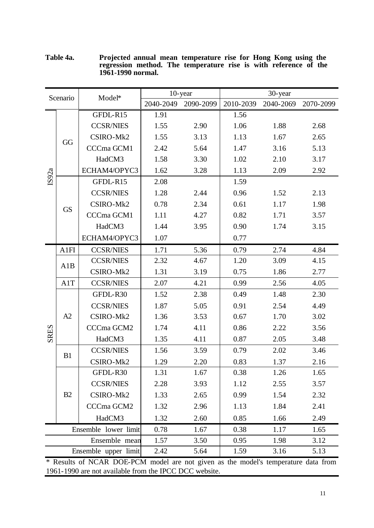| Scenario    |           | Model*               |           | 10-year   |              | 30-year   |           |
|-------------|-----------|----------------------|-----------|-----------|--------------|-----------|-----------|
|             |           |                      | 2040-2049 | 2090-2099 | 2010-2039    | 2040-2069 | 2070-2099 |
|             |           | GFDL-R15             | 1.91      |           | 1.56         |           |           |
| IS92a       |           | <b>CCSR/NIES</b>     | 1.55      | 2.90      | 1.06         | 1.88      | 2.68      |
|             | GG        | CSIRO-Mk2            | 1.55      | 3.13      | 1.13         | 1.67      | 2.65      |
|             |           | CCCma GCM1           | 2.42      | 5.64      | 1.47         | 3.16      | 5.13      |
|             |           | HadCM3               | 1.58      | 3.30      | 1.02         | 2.10      | 3.17      |
|             |           | ECHAM4/OPYC3         | 1.62      | 3.28      | 1.13         | 2.09      | 2.92      |
|             |           | GFDL-R15             | 2.08      |           | 1.59         |           |           |
|             |           | <b>CCSR/NIES</b>     | 1.28      | 2.44      | 0.96         | 1.52      | 2.13      |
|             | <b>GS</b> | CSIRO-Mk2            | 0.78      | 2.34      | 0.61         | 1.17      | 1.98      |
|             |           | CCCma GCM1           | 1.11      | 4.27      | 0.82         | 1.71      | 3.57      |
|             |           | HadCM3               | 1.44      | 3.95      | 0.90         | 1.74      | 3.15      |
|             |           | ECHAM4/OPYC3         | 1.07      |           | 0.77         |           |           |
|             | A1FI      | <b>CCSR/NIES</b>     | 1.71      | 5.36      | 0.79         | 2.74      | 4.84      |
|             | A1B       | <b>CCSR/NIES</b>     | 2.32      | 4.67      | 1.20         | 3.09      | 4.15      |
|             |           | CSIRO-Mk2            | 1.31      | 3.19      | 0.75         | 1.86      | 2.77      |
|             | A1T       | <b>CCSR/NIES</b>     | 2.07      | 4.21      | 0.99         | 2.56      | 4.05      |
|             |           | GFDL-R30             | 1.52      | 2.38      | 0.49         | 1.48      | 2.30      |
|             |           | <b>CCSR/NIES</b>     | 1.87      | 5.05      | 0.91         | 2.54      | 4.49      |
|             | A2        | CSIRO-Mk2            | 1.36      | 3.53      | 0.67         | 1.70      | 3.02      |
| <b>SRES</b> |           | CCCma GCM2           | 1.74      | 4.11      | 0.86         | 2.22      | 3.56      |
|             |           | HadCM3               | 1.35      | 4.11      | 0.87         | 2.05      | 3.48      |
|             | B1        | <b>CCSR/NIES</b>     | 1.56      | 3.59      | 0.79         | 2.02      | 3.46      |
|             |           | CSIRO-Mk2            | 1.29      | 2.20      | 0.83         | 1.37      | 2.16      |
|             |           | GFDL-R30             | 1.31      | 1.67      | 0.38         | 1.26      | 1.65      |
|             |           | <b>CCSR/NIES</b>     | 2.28      | 3.93      | 1.12         | 2.55      | 3.57      |
|             | B2        | CSIRO-Mk2            | 1.33      | 2.65      | 0.99         | 1.54      | 2.32      |
|             |           | CCCma GCM2           | 1.32      | 2.96      | 1.13         | 1.84      | 2.41      |
|             |           | HadCM3               | 1.32      | 2.60      | 0.85         | 1.66      | 2.49      |
|             |           | Ensemble lower limit | 0.78      | 1.67      | 0.38<br>1.17 |           | 1.65      |
|             |           | Ensemble mean        | 1.57      | 3.50      | 0.95         | 1.98      | 3.12      |
|             |           | Ensemble upper limit | 2.42      | 5.64      | 1.59         | 3.16      | 5.13      |

**Table 4a. Projected annual mean temperature rise for Hong Kong using the regression method. The temperature rise is with reference of the 1961-1990 normal.**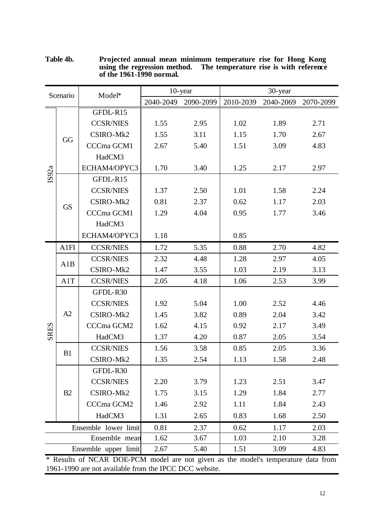| Scenario    |           | Model*                                                                             |           | 10-year   | 30-year   |           |           |  |  |
|-------------|-----------|------------------------------------------------------------------------------------|-----------|-----------|-----------|-----------|-----------|--|--|
|             |           |                                                                                    | 2040-2049 | 2090-2099 | 2010-2039 | 2040-2069 | 2070-2099 |  |  |
|             |           | GFDL-R15                                                                           |           |           |           |           |           |  |  |
|             |           | <b>CCSR/NIES</b>                                                                   | 1.55      | 2.95      | 1.02      | 1.89      | 2.71      |  |  |
|             | GG        | CSIRO-Mk2                                                                          | 1.55      | 3.11      | 1.15      | 1.70      | 2.67      |  |  |
|             |           | CCCma GCM1                                                                         | 2.67      | 5.40      | 1.51      | 3.09      | 4.83      |  |  |
|             |           | HadCM3                                                                             |           |           |           |           |           |  |  |
| IS92a       |           | ECHAM4/OPYC3                                                                       | 1.70      | 3.40      | 1.25      | 2.17      | 2.97      |  |  |
|             |           | GFDL-R15                                                                           |           |           |           |           |           |  |  |
|             |           | <b>CCSR/NIES</b>                                                                   | 1.37      | 2.50      | 1.01      | 1.58      | 2.24      |  |  |
|             | <b>GS</b> | CSIRO-Mk2                                                                          | 0.81      | 2.37      | 0.62      | 1.17      | 2.03      |  |  |
|             |           | CCCma GCM1                                                                         | 1.29      | 4.04      | 0.95      | 1.77      | 3.46      |  |  |
|             |           | HadCM3                                                                             |           |           |           |           |           |  |  |
|             |           | ECHAM4/OPYC3                                                                       | 1.18      |           | 0.85      |           |           |  |  |
|             | A1FI      | <b>CCSR/NIES</b>                                                                   | 1.72      | 5.35      | 0.88      | 2.70      | 4.82      |  |  |
|             | A1B       | <b>CCSR/NIES</b>                                                                   | 2.32      | 4.48      | 1.28      | 2.97      | 4.05      |  |  |
|             |           | CSIRO-Mk2                                                                          | 1.47      | 3.55      | 1.03      | 2.19      | 3.13      |  |  |
|             | A1T       | <b>CCSR/NIES</b>                                                                   | 2.05      | 4.18      | 1.06      | 2.53      | 3.99      |  |  |
|             |           | GFDL-R30                                                                           |           |           |           |           |           |  |  |
|             |           | <b>CCSR/NIES</b>                                                                   | 1.92      | 5.04      | 1.00      | 2.52      | 4.46      |  |  |
|             | A2        | CSIRO-Mk2                                                                          | 1.45      | 3.82      | 0.89      | 2.04      | 3.42      |  |  |
|             |           | CCCma GCM2                                                                         | 1.62      | 4.15      | 0.92      | 2.17      | 3.49      |  |  |
| <b>SRES</b> |           | HadCM3                                                                             | 1.37      | 4.20      | 0.87      | 2.05      | 3.54      |  |  |
|             | B1        | <b>CCSR/NIES</b>                                                                   | 1.56      | 3.58      | 0.85      | 2.05      | 3.36      |  |  |
|             |           | CSIRO-Mk2                                                                          | 1.35      | 2.54      | 1.13      | 1.58      | 2.48      |  |  |
|             |           | GFDL-R30                                                                           |           |           |           |           |           |  |  |
|             |           | <b>CCSR/NIES</b>                                                                   | 2.20      | 3.79      | 1.23      | 2.51      | 3.47      |  |  |
|             | B2        | CSIRO-Mk2                                                                          | 1.75      | 3.15      | 1.29      | 1.84      | 2.77      |  |  |
|             |           | CCCma GCM2                                                                         | 1.46      | 2.92      | 1.11      | 1.84      | 2.43      |  |  |
|             |           | HadCM3                                                                             | 1.31      | 2.65      | 0.83      | 1.68      | 2.50      |  |  |
|             |           | Ensemble lower limit                                                               | 0.81      | 2.37      | 0.62      | 1.17      | 2.03      |  |  |
|             |           | Ensemble mean                                                                      | 1.62      | 3.67      | 1.03      | 2.10      | 3.28      |  |  |
|             |           | Ensemble upper limit                                                               | 2.67      | 5.40      | 1.51      | 3.09      | 4.83      |  |  |
|             |           | * Paculto of NCAP DOE PCM model are not given as the model's temperature data from |           |           |           |           |           |  |  |

**Table 4b. Projected annual mean minimum temperature rise for Hong Kong using the regression method. The temperature rise is with reference of the 1961-1990 normal.**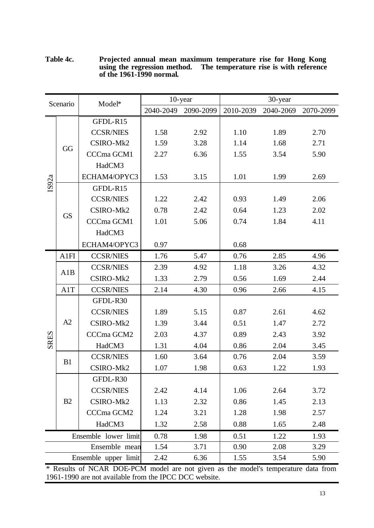|             | Scenario  | Model*               |           | 10-year   |           | 30-year   |           |
|-------------|-----------|----------------------|-----------|-----------|-----------|-----------|-----------|
|             |           |                      | 2040-2049 | 2090-2099 | 2010-2039 | 2040-2069 | 2070-2099 |
|             |           | GFDL-R15             |           |           |           |           |           |
|             |           | <b>CCSR/NIES</b>     | 1.58      | 2.92      | 1.10      | 1.89      | 2.70      |
|             | GG        | CSIRO-Mk2            | 1.59      | 3.28      | 1.14      | 1.68      | 2.71      |
|             |           | CCCma GCM1           | 2.27      | 6.36      | 1.55      | 3.54      | 5.90      |
|             |           | HadCM3               |           |           |           |           |           |
|             |           | ECHAM4/OPYC3         | 1.53      | 3.15      | 1.01      | 1.99      | 2.69      |
| IS92a       |           | GFDL-R15             |           |           |           |           |           |
|             |           | <b>CCSR/NIES</b>     | 1.22      | 2.42      | 0.93      | 1.49      | 2.06      |
|             | <b>GS</b> | CSIRO-Mk2            | 0.78      | 2.42      | 0.64      | 1.23      | 2.02      |
|             |           | CCCma GCM1           | 1.01      | 5.06      | 0.74      | 1.84      | 4.11      |
|             |           | HadCM3               |           |           |           |           |           |
|             |           | ECHAM4/OPYC3         | 0.97      |           | 0.68      |           |           |
|             | A1FI      | <b>CCSR/NIES</b>     | 1.76      | 5.47      | 0.76      | 2.85      | 4.96      |
|             | A1B       | <b>CCSR/NIES</b>     | 2.39      | 4.92      | 1.18      | 3.26      | 4.32      |
|             |           | CSIRO-Mk2            | 1.33      | 2.79      | 0.56      | 1.69      | 2.44      |
|             | A1T       | <b>CCSR/NIES</b>     | 2.14      | 4.30      | 0.96      | 2.66      | 4.15      |
|             |           | GFDL-R30             |           |           |           |           |           |
|             |           | <b>CCSR/NIES</b>     | 1.89      | 5.15      | 0.87      | 2.61      | 4.62      |
|             | A2        | CSIRO-Mk2            | 1.39      | 3.44      | 0.51      | 1.47      | 2.72      |
| <b>SRES</b> |           | CCCma GCM2           | 2.03      | 4.37      | 0.89      | 2.43      | 3.92      |
|             |           | HadCM3               | 1.31      | 4.04      | 0.86      | 2.04      | 3.45      |
|             | B1        | <b>CCSR/NIES</b>     | 1.60      | 3.64      | 0.76      | 2.04      | 3.59      |
|             |           | CSIRO-Mk2            | 1.07      | 1.98      | 0.63      | 1.22      | 1.93      |
|             |           | GFDL-R30             |           |           |           |           |           |
|             |           | <b>CCSR/NIES</b>     | 2.42      | 4.14      | 1.06      | 2.64      | 3.72      |
|             | B2        | CSIRO-Mk2            | 1.13      | 2.32      | 0.86      | 1.45      | 2.13      |
|             |           | CCCma GCM2           | 1.24      | 3.21      | 1.28      | 1.98      | 2.57      |
|             |           | HadCM3               | 1.32      | 2.58      | 0.88      | 1.65      | 2.48      |
|             |           | Ensemble lower limit | 0.78      | 1.98      | 0.51      | 1.22      | 1.93      |

**Table 4c. Projected annual mean maximum temperature rise for Hong Kong using the regression method. The temperature rise is with reference of the 1961-1990 normal.**

Ensemble upper limit 2.42 6.36 1.55 3.54 5.90

Ensemble mean 1.54 3.71 0.90 2.08 3.29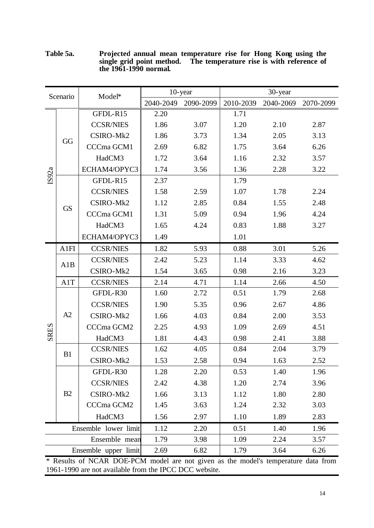| Scenario    |           | Model*               |           | 10-year   |           | 30-year   |           |
|-------------|-----------|----------------------|-----------|-----------|-----------|-----------|-----------|
|             |           |                      | 2040-2049 | 2090-2099 | 2010-2039 | 2040-2069 | 2070-2099 |
|             |           | GFDL-R15             | 2.20      |           | 1.71      |           |           |
|             |           | <b>CCSR/NIES</b>     | 1.86      | 3.07      | 1.20      | 2.10      | 2.87      |
|             | GG        | CSIRO-Mk2            | 1.86      | 3.73      | 1.34      | 2.05      | 3.13      |
|             |           | CCCma GCM1           | 2.69      | 6.82      | 1.75      | 3.64      | 6.26      |
|             |           | HadCM3               | 1.72      | 3.64      | 1.16      | 2.32      | 3.57      |
|             |           | ECHAM4/OPYC3         | 1.74      | 3.56      | 1.36      | 2.28      | 3.22      |
| IS92a       |           | GFDL-R15             | 2.37      |           | 1.79      |           |           |
|             |           | <b>CCSR/NIES</b>     | 1.58      | 2.59      | 1.07      | 1.78      | 2.24      |
|             | <b>GS</b> | CSIRO-Mk2            | 1.12      | 2.85      | 0.84      | 1.55      | 2.48      |
|             |           | CCCma GCM1           | 1.31      | 5.09      | 0.94      | 1.96      | 4.24      |
|             |           | HadCM3               | 1.65      | 4.24      | 0.83      | 1.88      | 3.27      |
|             |           | ECHAM4/OPYC3         | 1.49      |           | 1.01      |           |           |
|             | A1FI      | <b>CCSR/NIES</b>     | 1.82      | 5.93      | 0.88      | 3.01      | 5.26      |
|             | A1B       | <b>CCSR/NIES</b>     | 2.42      | 5.23      | 1.14      | 3.33      | 4.62      |
|             |           | CSIRO-Mk2            | 1.54      | 3.65      | 0.98      | 2.16      | 3.23      |
|             | A1T       | <b>CCSR/NIES</b>     | 2.14      | 4.71      | 1.14      | 2.66      | 4.50      |
|             |           | GFDL-R30             | 1.60      | 2.72      | 0.51      | 1.79      | 2.68      |
|             |           | <b>CCSR/NIES</b>     | 1.90      | 5.35      | 0.96      | 2.67      | 4.86      |
|             | A2        | CSIRO-Mk2            | 1.66      | 4.03      | 0.84      | 2.00      | 3.53      |
| <b>SRES</b> |           | CCCma GCM2           | 2.25      | 4.93      | 1.09      | 2.69      | 4.51      |
|             |           | HadCM3               | 1.81      | 4.43      | 0.98      | 2.41      | 3.88      |
|             | B1        | <b>CCSR/NIES</b>     | 1.62      | 4.05      | 0.84      | 2.04      | 3.79      |
|             |           | CSIRO-Mk2            | 1.53      | 2.58      | 0.94      | 1.63      | 2.52      |
|             |           | GFDL-R30             | 1.28      | 2.20      | 0.53      | 1.40      | 1.96      |
|             |           | <b>CCSR/NIES</b>     | 2.42      | 4.38      | 1.20      | 2.74      | 3.96      |
|             | B2        | CSIRO-Mk2            | 1.66      | 3.13      | 1.12      | 1.80      | 2.80      |
|             |           | CCCma GCM2           | 1.45      | 3.63      | 1.24      | 2.32      | 3.03      |
|             |           | HadCM3               | 1.56      | 2.97      | 1.10      | 1.89      | 2.83      |
|             |           | Ensemble lower limit | 1.12      | 2.20      | 0.51      | 1.40      | 1.96      |
|             |           | Ensemble mean        | 1.79      | 3.98      | 1.09      | 2.24      | 3.57      |
|             |           | Ensemble upper limit | 2.69      | 6.82      | 1.79      | 3.64      | 6.26      |

**Table 5a. Projected annual mean temperature rise for Hong Kong using the single grid point method. The temperature rise is with reference of the 1961-1990 normal.**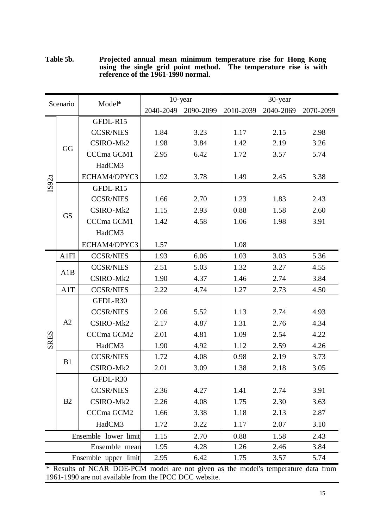| Table 5b. | Projected annual mean minimum temperature rise for Hong Kong                                           |
|-----------|--------------------------------------------------------------------------------------------------------|
|           | using the single grid point method. The temperature rise is with<br>reference of the 1961-1990 normal. |

| Scenario    |           | Model*               |           | 10-year   |           | 30-year   |           |
|-------------|-----------|----------------------|-----------|-----------|-----------|-----------|-----------|
|             |           |                      | 2040-2049 | 2090-2099 | 2010-2039 | 2040-2069 | 2070-2099 |
|             |           | GFDL-R15             |           |           |           |           |           |
|             |           | <b>CCSR/NIES</b>     | 1.84      | 3.23      | 1.17      | 2.15      | 2.98      |
|             |           | CSIRO-Mk2            | 1.98      | 3.84      | 1.42      | 2.19      | 3.26      |
|             | GG        | CCCma GCM1           | 2.95      | 6.42      | 1.72      | 3.57      | 5.74      |
|             |           | HadCM3               |           |           |           |           |           |
|             |           | ECHAM4/OPYC3         | 1.92      | 3.78      | 1.49      | 2.45      | 3.38      |
| IS92a       |           | GFDL-R15             |           |           |           |           |           |
|             |           | <b>CCSR/NIES</b>     | 1.66      | 2.70      | 1.23      | 1.83      | 2.43      |
|             | <b>GS</b> | CSIRO-Mk2            | 1.15      | 2.93      | 0.88      | 1.58      | 2.60      |
|             |           | CCCma GCM1           | 1.42      | 4.58      | 1.06      | 1.98      | 3.91      |
|             |           | HadCM3               |           |           |           |           |           |
|             |           | ECHAM4/OPYC3         | 1.57      |           | 1.08      |           |           |
|             | A1FI      | <b>CCSR/NIES</b>     | 1.93      | 6.06      | 1.03      | 3.03      | 5.36      |
|             | A1B       | <b>CCSR/NIES</b>     | 2.51      | 5.03      | 1.32      | 3.27      | 4.55      |
|             |           | CSIRO-Mk2            | 1.90      | 4.37      | 1.46      | 2.74      | 3.84      |
|             | A1T       | <b>CCSR/NIES</b>     | 2.22      | 4.74      | 1.27      | 2.73      | 4.50      |
|             |           | GFDL-R30             |           |           |           |           |           |
|             |           | <b>CCSR/NIES</b>     | 2.06      | 5.52      | 1.13      | 2.74      | 4.93      |
|             | A2        | CSIRO-Mk2            | 2.17      | 4.87      | 1.31      | 2.76      | 4.34      |
| <b>SRES</b> |           | CCCma GCM2           | 2.01      | 4.81      | 1.09      | 2.54      | 4.22      |
|             |           | HadCM3               | 1.90      | 4.92      | 1.12      | 2.59      | 4.26      |
|             | B1        | <b>CCSR/NIES</b>     | 1.72      | 4.08      | 0.98      | 2.19      | 3.73      |
|             |           | CSIRO-Mk2            | 2.01      | 3.09      | 1.38      | 2.18      | 3.05      |
|             |           | GFDL-R30             |           |           |           |           |           |
|             |           | <b>CCSR/NIES</b>     | 2.36      | 4.27      | 1.41      | 2.74      | 3.91      |
|             | B2        | CSIRO-Mk2            | 2.26      | 4.08      | 1.75      | 2.30      | 3.63      |
|             |           | CCCma GCM2           | 1.66      | 3.38      | 1.18      | 2.13      | 2.87      |
|             |           | HadCM3               | 1.72      | 3.22      | 1.17      | 2.07      | 3.10      |
|             |           | Ensemble lower limit | 1.15      | 2.70      | 0.88      | 1.58      | 2.43      |
|             |           | Ensemble mean        | 1.95      | 4.28      | 1.26      | 2.46      | 3.84      |
|             |           | Ensemble upper limit | 2.95      | 6.42      | 1.75      | 3.57      | 5.74      |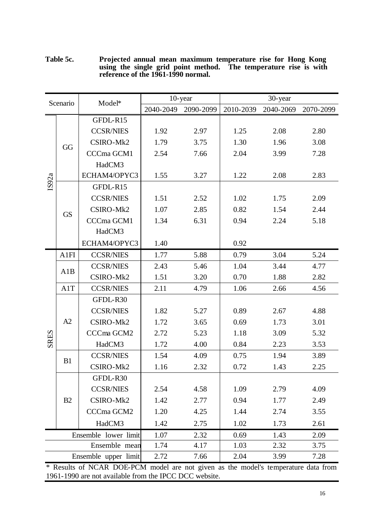| Scenario    |               | Model*               |           | $10$ -year |           | 30-year   |           |
|-------------|---------------|----------------------|-----------|------------|-----------|-----------|-----------|
|             |               |                      | 2040-2049 | 2090-2099  | 2010-2039 | 2040-2069 | 2070-2099 |
|             |               | GFDL-R15             |           |            |           |           |           |
|             |               | <b>CCSR/NIES</b>     | 1.92      | 2.97       | 1.25      | 2.08      | 2.80      |
|             | GG            | CSIRO-Mk2            | 1.79      | 3.75       | 1.30      | 1.96      | 3.08      |
|             |               | CCCma GCM1           | 2.54      | 7.66       | 2.04      | 3.99      | 7.28      |
|             |               | HadCM3               |           |            |           |           |           |
|             |               | ECHAM4/OPYC3         | 1.55      | 3.27       | 1.22      | 2.08      | 2.83      |
| IS92a       |               | GFDL-R15             |           |            |           |           |           |
|             |               | <b>CCSR/NIES</b>     | 1.51      | 2.52       | 1.02      | 1.75      | 2.09      |
|             | <b>GS</b>     | CSIRO-Mk2            | 1.07      | 2.85       | 0.82      | 1.54      | 2.44      |
|             |               | CCCma GCM1           | 1.34      | 6.31       | 0.94      | 2.24      | 5.18      |
|             |               | HadCM3               |           |            |           |           |           |
|             |               | ECHAM4/OPYC3         | 1.40      |            | 0.92      |           |           |
|             | A1FI          | <b>CCSR/NIES</b>     | 1.77      | 5.88       | 0.79      | 3.04      | 5.24      |
|             | A1B           | <b>CCSR/NIES</b>     | 2.43      | 5.46       | 1.04      | 3.44      | 4.77      |
|             |               | CSIRO-Mk2            | 1.51      | 3.20       | 0.70      | 1.88      | 2.82      |
|             | A1T           | <b>CCSR/NIES</b>     | 2.11      | 4.79       | 1.06      | 2.66      | 4.56      |
|             |               | GFDL-R30             |           |            |           |           |           |
|             |               | <b>CCSR/NIES</b>     | 1.82      | 5.27       | 0.89      | 2.67      | 4.88      |
|             | A2            | CSIRO-Mk2            | 1.72      | 3.65       | 0.69      | 1.73      | 3.01      |
| <b>SRES</b> |               | CCCma GCM2           | 2.72      | 5.23       | 1.18      | 3.09      | 5.32      |
|             |               | HadCM3               | 1.72      | 4.00       | 0.84      | 2.23      | 3.53      |
|             | B1            | <b>CCSR/NIES</b>     | 1.54      | 4.09       | 0.75      | 1.94      | 3.89      |
|             |               | CSIRO-Mk2            | 1.16      | 2.32       | 0.72      | 1.43      | 2.25      |
|             |               | GFDL-R30             |           |            |           |           |           |
|             |               | <b>CCSR/NIES</b>     | 2.54      | 4.58       | 1.09      | 2.79      | 4.09      |
|             | B2            | CSIRO-Mk2            | 1.42      | 2.77       | 0.94      | 1.77      | 2.49      |
|             |               | CCCma GCM2           | 1.20      | 4.25       | 1.44      | 2.74      | 3.55      |
|             |               | HadCM3               | 1.42      | 2.75       | 1.02      | 1.73      | 2.61      |
|             |               | Ensemble lower limit | 1.07      | 2.32       | 0.69      | 1.43      | 2.09      |
|             | Ensemble mean |                      | 1.74      | 4.17       | 1.03      | 2.32      | 3.75      |
|             |               | Ensemble upper limit | 2.72      | 7.66       | 2.04      | 3.99      | 7.28      |

**Table 5c. Projected annual mean maximum temperature rise for Hong Kong using the single grid point method. The temperature rise is with reference of the 1961-1990 normal.**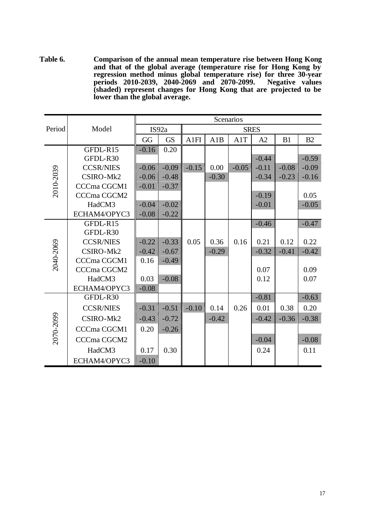**Table 6. Comparison of the annual mean temperature rise between Hong Kong and that of the global average (temperature rise for Hong Kong by regression method minus global temperature rise) for three 30-year periods 2010-2039, 2040-2069 and 2070-2099. Negative values (shaded) represent changes for Hong Kong that are projected to be lower than the global average.**

|           |                  | Scenarios |           |         |         |         |             |         |         |  |  |
|-----------|------------------|-----------|-----------|---------|---------|---------|-------------|---------|---------|--|--|
| Period    | Model            |           | IS92a     |         |         |         | <b>SRES</b> |         |         |  |  |
|           |                  | GG        | <b>GS</b> | A1FI    | A1B     | A1T     | A2          | B1      | B2      |  |  |
|           | GFDL-R15         | $-0.16$   | 0.20      |         |         |         |             |         |         |  |  |
|           | GFDL-R30         |           |           |         |         |         | $-0.44$     |         | $-0.59$ |  |  |
|           | <b>CCSR/NIES</b> | $-0.06$   | $-0.09$   | $-0.15$ | 0.00    | $-0.05$ | $-0.11$     | $-0.08$ | $-0.09$ |  |  |
| 2010-2039 | CSIRO-Mk2        | $-0.06$   | $-0.48$   |         | $-0.30$ |         | $-0.34$     | $-0.23$ | $-0.16$ |  |  |
|           | CCCma CGCM1      | $-0.01$   | $-0.37$   |         |         |         |             |         |         |  |  |
|           | CCCma CGCM2      |           |           |         |         |         | $-0.19$     |         | 0.05    |  |  |
|           | HadCM3           | $-0.04$   | $-0.02$   |         |         |         | $-0.01$     |         | $-0.05$ |  |  |
|           | ECHAM4/OPYC3     | $-0.08$   | $-0.22$   |         |         |         |             |         |         |  |  |
|           | GFDL-R15         |           |           |         |         |         | $-0.46$     |         | $-0.47$ |  |  |
|           | GFDL-R30         |           |           |         |         |         |             |         |         |  |  |
|           | <b>CCSR/NIES</b> | $-0.22$   | $-0.33$   | 0.05    | 0.36    | 0.16    | 0.21        | 0.12    | 0.22    |  |  |
| 2040-2069 | CSIRO-Mk2        | $-0.42$   | $-0.67$   |         | $-0.29$ |         | $-0.32$     | $-0.41$ | $-0.42$ |  |  |
|           | CCCma CGCM1      | 0.16      | $-0.49$   |         |         |         |             |         |         |  |  |
|           | CCCma CGCM2      |           |           |         |         |         | 0.07        |         | 0.09    |  |  |
|           | HadCM3           | 0.03      | $-0.08$   |         |         |         | 0.12        |         | 0.07    |  |  |
|           | ECHAM4/OPYC3     | $-0.08$   |           |         |         |         |             |         |         |  |  |
|           | GFDL-R30         |           |           |         |         |         | $-0.81$     |         | $-0.63$ |  |  |
|           | <b>CCSR/NIES</b> | $-0.31$   | $-0.51$   | $-0.10$ | 0.14    | 0.26    | 0.01        | 0.38    | 0.20    |  |  |
|           | CSIRO-Mk2        | $-0.43$   | $-0.72$   |         | $-0.42$ |         | $-0.42$     | $-0.36$ | $-0.38$ |  |  |
| 2070-2099 | CCCma CGCM1      | 0.20      | $-0.26$   |         |         |         |             |         |         |  |  |
|           | CCCma CGCM2      |           |           |         |         |         | $-0.04$     |         | $-0.08$ |  |  |
|           | HadCM3           | 0.17      | 0.30      |         |         |         | 0.24        |         | 0.11    |  |  |
|           | ECHAM4/OPYC3     | $-0.10$   |           |         |         |         |             |         |         |  |  |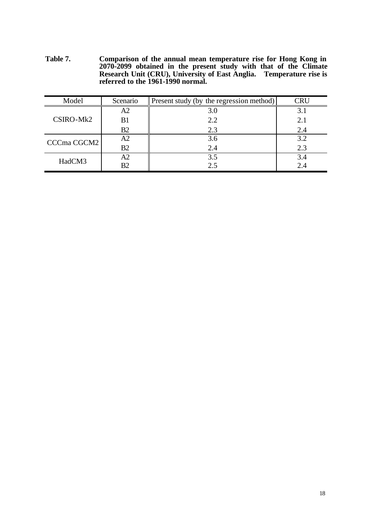**Table 7. Comparison of the annual mean temperature rise for Hong Kong in 2070-2099 obtained in the present study with that of the Climate Research Unit (CRU), University of East Anglia. Temperature rise is referred to the 1961-1990 normal.**

| Model       | Scenario | Present study (by the regression method) | `RU |
|-------------|----------|------------------------------------------|-----|
|             | A2       | 3.0                                      | 3.1 |
| CSIRO-Mk2   | B1       | 2.2                                      | 2.1 |
|             | B2       | 2.3                                      | 2.4 |
| CCCma CGCM2 | A2       | 3.6                                      | 3.2 |
|             | B2       | 2.4                                      | 2.3 |
| HadCM3      | A2       | 3.5                                      | 3.4 |
|             | B2       | 2.5                                      | 2.4 |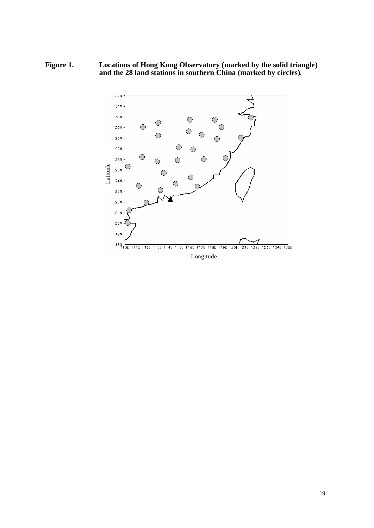**Figure 1. Locations of Hong Kong Observatory (marked by the solid triangle) and the 28 land stations in southern China (marked by circles).**

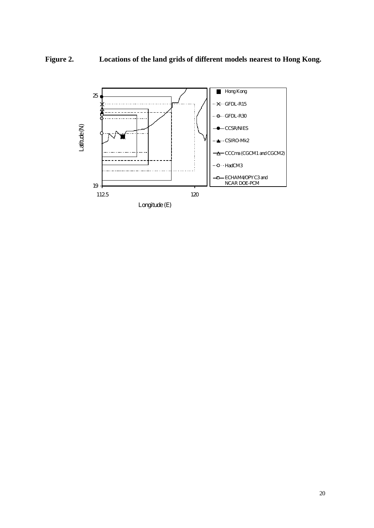### **Figure 2. Locations of the land grids of different models nearest to Hong Kong.**

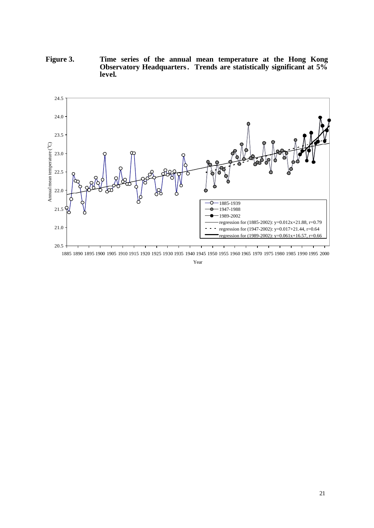**Figure 3. Time series of the annual mean temperature at the Hong Kong Observatory Headquarters. Trends are statistically significant at 5% level.**



1885 1890 1895 1900 1905 1910 1915 1920 1925 1930 1935 1940 1945 1950 1955 1960 1965 1970 1975 1980 1985 1990 1995 2000

Year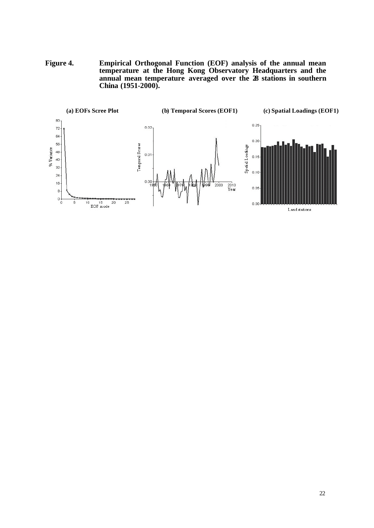**Figure 4. Empirical Orthogonal Function (EOF) analysis of the annual mean temperature at the Hong Kong Observatory Headquarters and the annual mean temperature averaged over the 28 stations in southern China (1951-2000).**

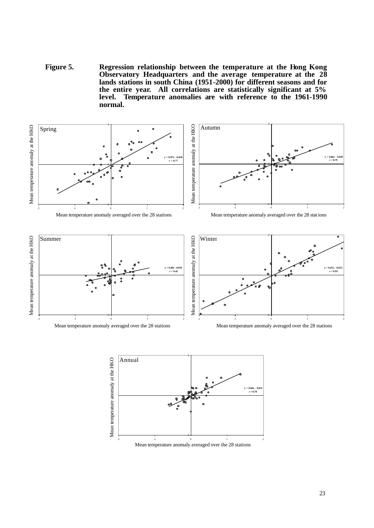**Figure 5. Regression relationship between the temperature at the Hong Kong Observatory Headquarters and the average temperature at the 28 lands stations in south China (1951-2000) for different seasons and for the entire year. All correlations are statistically significant at 5% level. Temperature anomalies are with reference to the 1961-1990 normal.**



 $-2$   $-1$  0 1 2 Mean temperature anomaly averaged over the 28 stations

-2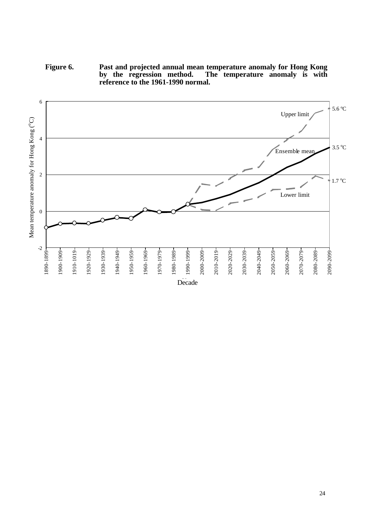**Figure 6. Past and projected annual mean temperature anomaly for Hong Kong**  The temperature anomaly is with by the regression method. The reference to the 1961-1990 normal.

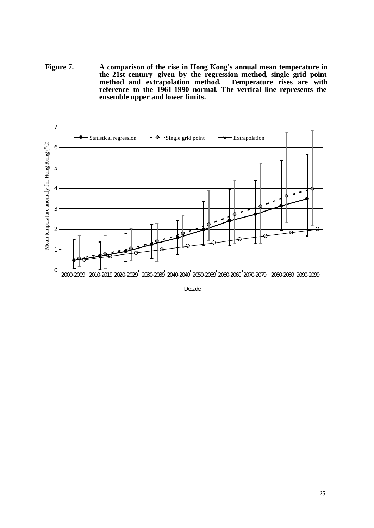**Figure 7. A comparison of the rise in Hong Kong's annual mean temperature in the 21st century given by the regression method, single grid point** method and extrapolation method. **reference to the 1961-1990 normal. The vertical line represents the ensemble upper and lower limits.**



**Decade**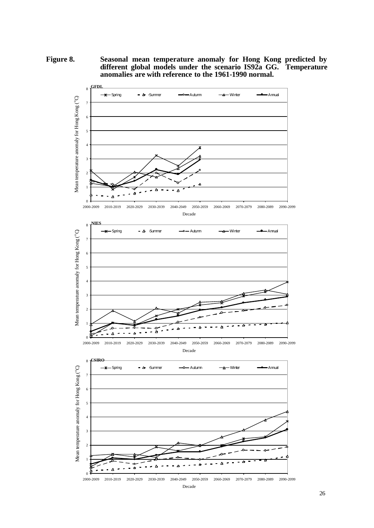**Figure 8. Seasonal mean temperature anomaly for Hong Kong predicted by different global models under the scenario IS92a GG. Temperature anomalies are with reference to the 1961-1990 normal.**

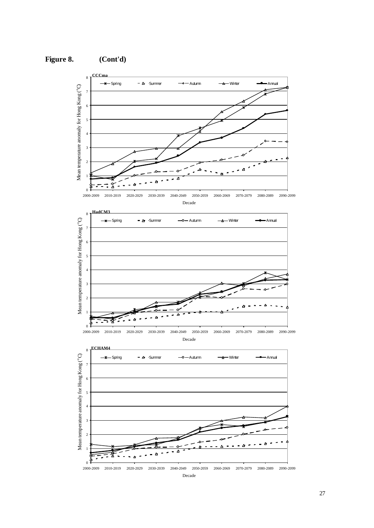







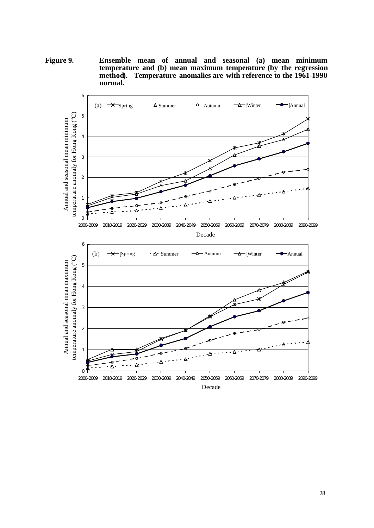**Figure 9. Ensemble mean of annual and seasonal (a) mean minimum temperature and (b) mean maximum temperature (by the regression method). Temperature anomalies are with reference to the 1961-1990 normal.**

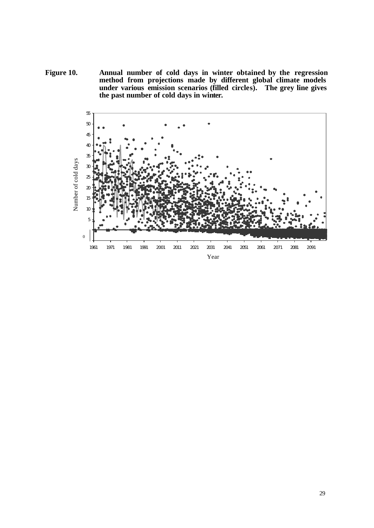**Figure 10. Annual number of cold days in winter obtained by the regression method from projections made by different global climate models under various emission scenarios (filled circles). The grey line gives the past number of cold days in winter.**

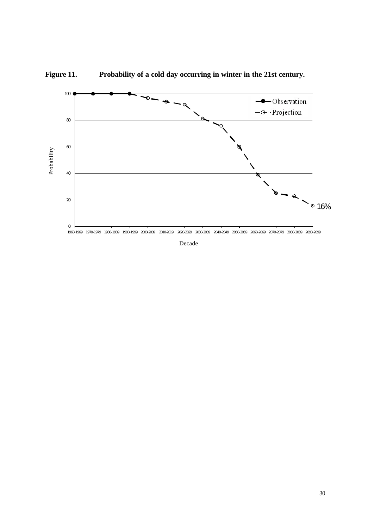



Decade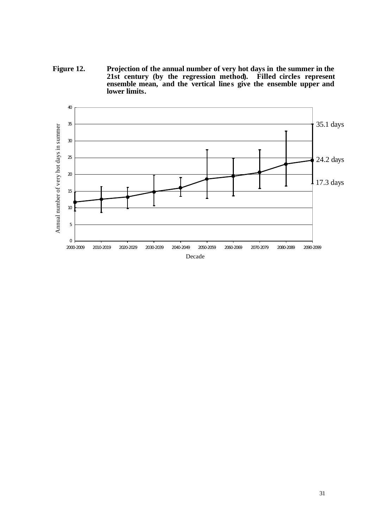**Figure 12. Projection of the annual number of very hot days in the summer in the 21st century (by the regression method). Filled circles represent** ensemble mean, and the vertical lines give the ensemble upper and **lower limits.**